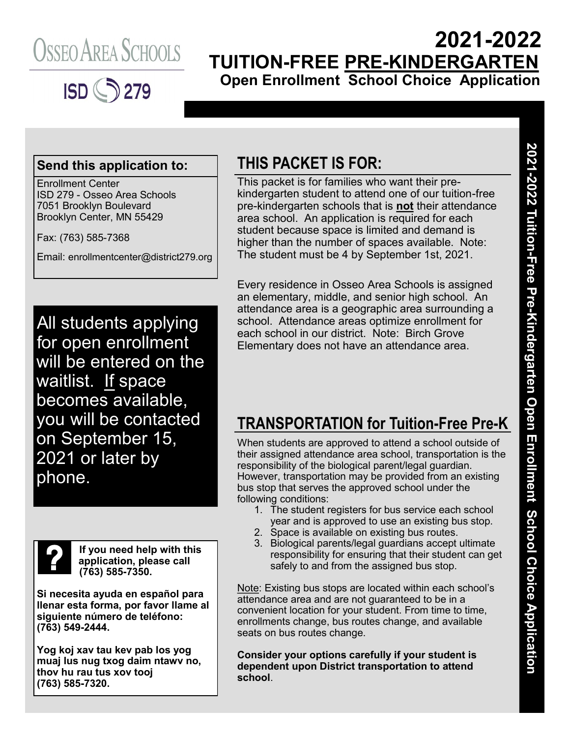



## **2021-2022 TUITION-FREE PRE-KINDERGARTEN Open Enrollment School Choice Application**

#### **Send this application to:**

Enrollment Center ISD 279 - Osseo Area Schools 7051 Brooklyn Boulevard Brooklyn Center, MN 55429

Fax: (763) 585-7368

Email: enrollmentcenter@district279.org

All students applying for open enrollment will be entered on the waitlist. If space becomes available, you will be contacted on September 15, 2021 or later by phone.



**If you need help with this application, please call (763) 585-7350.**

**Si necesita ayuda en español para llenar esta forma, por favor llame al siguiente número de teléfono: (763) 549-2444.**

**Yog koj xav tau kev pab los yog muaj lus nug txog daim ntawv no, thov hu rau tus xov tooj (763) 585-7320.**

### **THIS PACKET IS FOR:**

This packet is for families who want their prekindergarten student to attend one of our tuition-free pre-kindergarten schools that is **not** their attendance area school. An application is required for each student because space is limited and demand is higher than the number of spaces available. Note: The student must be 4 by September 1st, 2021.

Every residence in Osseo Area Schools is assigned an elementary, middle, and senior high school. An attendance area is a geographic area surrounding a school. Attendance areas optimize enrollment for each school in our district. Note: Birch Grove Elementary does not have an attendance area.

### **TRANSPORTATION for Tuition-Free Pre-K**

When students are approved to attend a school outside of their assigned attendance area school, transportation is the responsibility of the biological parent/legal guardian. However, transportation may be provided from an existing bus stop that serves the approved school under the following conditions:

- 1. The student registers for bus service each school year and is approved to use an existing bus stop.
- 2. Space is available on existing bus routes.
- 3. Biological parents/legal guardians accept ultimate responsibility for ensuring that their student can get safely to and from the assigned bus stop.

Note: Existing bus stops are located within each school's attendance area and are not guaranteed to be in a convenient location for your student. From time to time, enrollments change, bus routes change, and available seats on bus routes change.

**Consider your options carefully if your student is dependent upon District transportation to attend school**.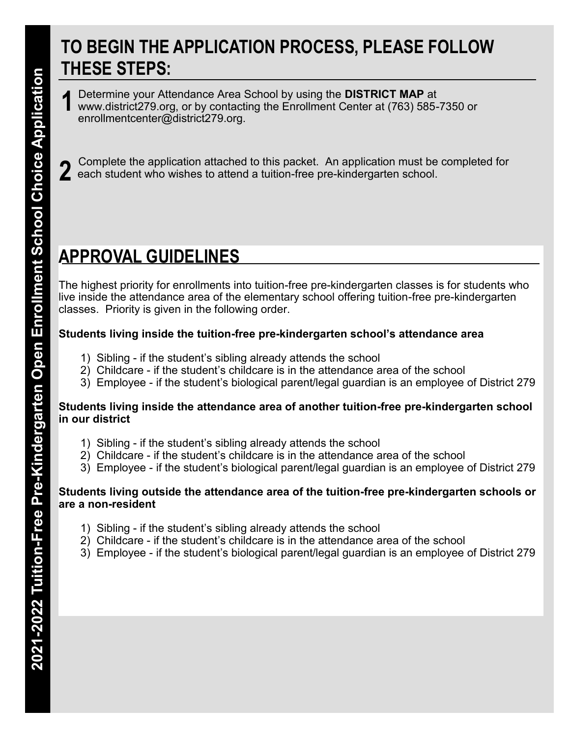## **TO BEGIN THE APPLICATION PROCESS, PLEASE FOLLOW THESE STEPS:**

Determine your Attendance Area School by using the **DISTRICT MAP** at www.district279.org, or by contacting the Enrollment Center at (763) 585-7350 or enrollmentcenter@district279.org. **1**

Complete the application attached to this packet. An application must be completed for each student who wishes to attend a tuition-free pre-kindergarten school. **2**

# **APPROVAL GUIDELINES**

The highest priority for enrollments into tuition-free pre-kindergarten classes is for students who live inside the attendance area of the elementary school offering tuition-free pre-kindergarten classes. Priority is given in the following order.

#### **Students living inside the tuition-free pre-kindergarten school's attendance area**

- 1) Sibling if the student's sibling already attends the school
- 2) Childcare if the student's childcare is in the attendance area of the school
- 3) Employee if the student's biological parent/legal guardian is an employee of District 279

#### **Students living inside the attendance area of another tuition-free pre-kindergarten school in our district**

- 1) Sibling if the student's sibling already attends the school
- 2) Childcare if the student's childcare is in the attendance area of the school
- 3) Employee if the student's biological parent/legal guardian is an employee of District 279

#### **Students living outside the attendance area of the tuition-free pre-kindergarten schools or are a non-resident**

- 1) Sibling if the student's sibling already attends the school
- 2) Childcare if the student's childcare is in the attendance area of the school
- 3) Employee if the student's biological parent/legal guardian is an employee of District 279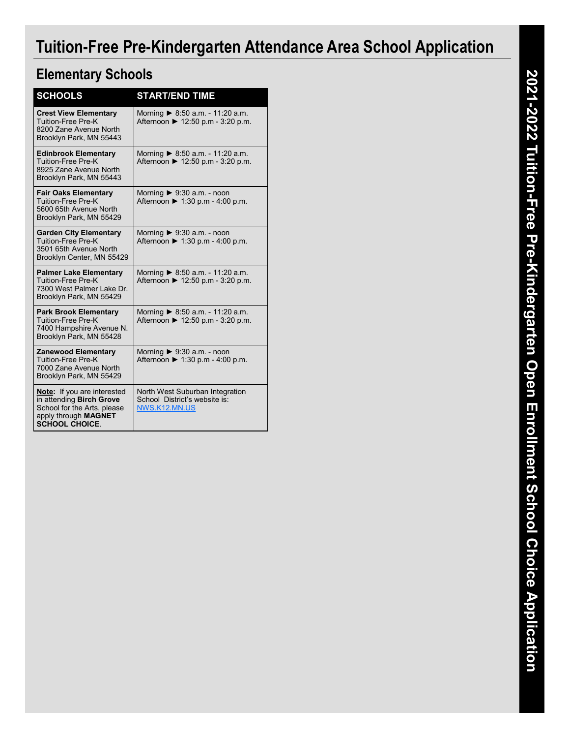# **Tuition-Free Pre-Kindergarten Attendance Area School Application**

### **Elementary Schools**

| <b>SCHOOLS</b>                                                                                                                                 | <b>START/END TIME</b>                                                                |
|------------------------------------------------------------------------------------------------------------------------------------------------|--------------------------------------------------------------------------------------|
| <b>Crest View Elementary</b><br><b>Tuition-Free Pre-K</b><br>8200 Zane Avenue North<br>Brooklyn Park, MN 55443                                 | Morning $\triangleright$ 8:50 a.m. - 11:20 a.m.<br>Afternoon ▶ 12:50 p.m - 3:20 p.m. |
| <b>Edinbrook Elementary</b><br>Tuition-Free Pre-K<br>8925 Zane Avenue North<br>Brooklyn Park, MN 55443                                         | Morning $\triangleright$ 8:50 a.m. - 11:20 a.m.<br>Afternoon ▶ 12:50 p.m - 3:20 p.m. |
| <b>Fair Oaks Elementary</b><br><b>Tuition-Free Pre-K</b><br>5600 65th Avenue North<br>Brooklyn Park, MN 55429                                  | Morning $\triangleright$ 9:30 a.m. - noon<br>Afternoon ▶ 1:30 p.m - 4:00 p.m.        |
| <b>Garden City Elementary</b><br>Tuition-Free Pre-K<br>3501 65th Avenue North<br>Brooklyn Center, MN 55429                                     | Morning $\triangleright$ 9:30 a.m. - noon<br>Afternoon ▶ 1:30 p.m - 4:00 p.m.        |
| <b>Palmer Lake Elementary</b><br>Tuition-Free Pre-K<br>7300 West Palmer Lake Dr.<br>Brooklyn Park, MN 55429                                    | Morning ▶ 8:50 a.m. - 11:20 a.m.<br>Afternoon ▶ 12:50 p.m - 3:20 p.m.                |
| <b>Park Brook Elementary</b><br><b>Tuition-Free Pre-K</b><br>7400 Hampshire Avenue N.<br>Brooklyn Park, MN 55428                               | Morning $\triangleright$ 8:50 a.m. - 11:20 a.m.<br>Afternoon ▶ 12:50 p.m - 3:20 p.m. |
| <b>Zanewood Elementary</b><br>Tuition-Free Pre-K<br>7000 Zane Avenue North<br>Brooklyn Park, MN 55429                                          | Morning $\triangleright$ 9:30 a.m. - noon<br>Afternoon ▶ 1:30 p.m - 4:00 p.m.        |
| <b>Note:</b> If you are interested<br>in attending Birch Grove<br>School for the Arts, please<br>apply through MAGNET<br><b>SCHOOL CHOICE.</b> | North West Suburban Integration<br>School District's website is:<br>NWS.K12.MN.US    |